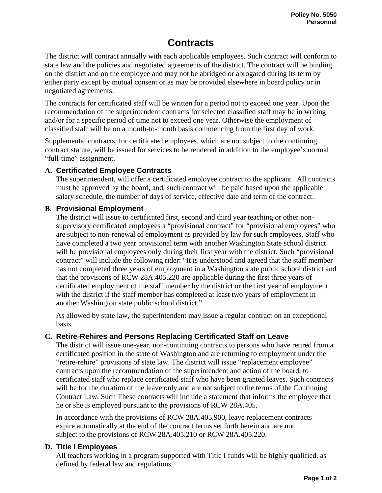# **Contracts**

The district will contract annually with each applicable employees. Such contract will conform to state law and the policies and negotiated agreements of the district. The contract will be binding on the district and on the employee and may not be abridged or abrogated during its term by either party except by mutual consent or as may be provided elsewhere in board policy or in negotiated agreements.

The contracts for certificated staff will be written for a period not to exceed one year. Upon the recommendation of the superintendent contracts for selected classified staff may be in writing and/or for a specific period of time not to exceed one year. Otherwise the employment of classified staff will be on a month-to-month basis commencing from the first day of work.

Supplemental contracts, for certificated employees, which are not subject to the continuing contract statute, will be issued for services to be rendered in addition to the employee's normal "full-time" assignment.

### **A. Certificated Employee Contracts**

The superintendent, will offer a certificated employee contract to the applicant. All contracts must be approved by the board, and, such contract will be paid based upon the applicable salary schedule, the number of days of service, effective date and term of the contract.

#### **B. Provisional Employment**

The district will issue to certificated first, second and third year teaching or other nonsupervisory certificated employees a "provisional contract" for "provisional employees" who are subject to non-renewal of employment as provided by law for such employees. Staff who have completed a two year provisional term with another Washington State school district will be provisional employees only during their first year with the district. Such "provisional" contract" will include the following rider: "It is understood and agreed that the staff member has not completed three years of employment in a Washington state public school district and that the provisions of RCW 28A.405.220 are applicable during the first three years of certificated employment of the staff member by the district or the first year of employment with the district if the staff member has completed at least two years of employment in another Washington state public school district."

As allowed by state law, the superintendent may issue a regular contract on an exceptional basis.

## **C. Retire-Rehires and Persons Replacing Certificated Staff on Leave**

The district will issue one-year, non-continuing contracts to persons who have retired from a certificated position in the state of Washington and are returning to employment under the "retire-rehire" provisions of state law. The district will issue "replacement employee" contracts upon the recommendation of the superintendent and action of the board, to certificated staff who replace certificated staff who have been granted leaves. Such contracts will be for the duration of the leave only and are not subject to the terms of the Continuing Contract Law. Such These contracts will include a statement that informs the employee that he or she is employed pursuant to the provisions of RCW 28A.405.

In accordance with the provisions of RCW 28A.405.900, leave replacement contracts expire automatically at the end of the contract terms set forth herein and are not subject to the provisions of RCW 28A.405.210 or RCW 28A.405.220.

#### **D. Title I Employees**

All teachers working in a program supported with Title I funds will be highly qualified, as defined by federal law and regulations.